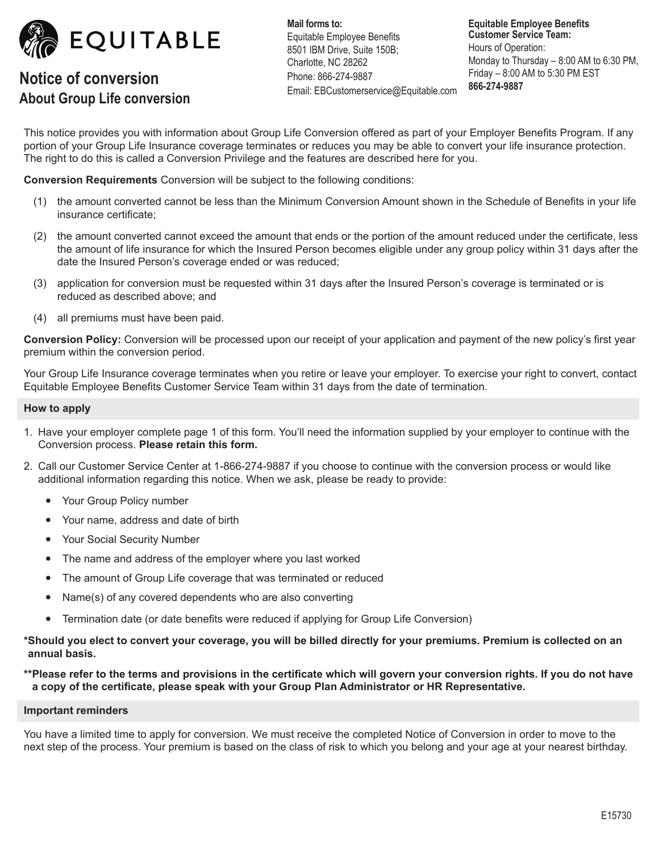

# **Notice of conversion About Group Life conversion**

**Mail forms to:** Equitable Employee Benefits 8501 IBM Drive, Suite 150B; Charlotte, NC 28262 Phone: 866-274-9887 Email: EBCustomerservice@Equitable.com

**Equitable Employee Benefits Customer Service Team:** Hours of Operation: Monday to Thursday – 8:00 AM to 6:30 PM, Friday – 8:00 AM to 5:30 PM EST **866-274-9887**

This notice provides you with information about Group Life Conversion offered as part of your Employer Benefits Program. If any portion of your Group Life Insurance coverage terminates or reduces you may be able to convert your life insurance protection. The right to do this is called a Conversion Privilege and the features are described here for you.

**Conversion Requirements** Conversion will be subject to the following conditions:

- (1) the amount converted cannot be less than the Minimum Conversion Amount shown in the Schedule of Benefits in your life insurance certificate;
- (2) the amount converted cannot exceed the amount that ends or the portion of the amount reduced under the certificate, less the amount of life insurance for which the Insured Person becomes eligible under any group policy within 31 days after the date the Insured Person's coverage ended or was reduced;
- (3) application for conversion must be requested within 31 days after the Insured Person's coverage is terminated or is reduced as described above; and
- (4) all premiums must have been paid.

**Conversion Policy:** Conversion will be processed upon our receipt of your application and payment of the new policy's first year premium within the conversion period.

Your Group Life Insurance coverage terminates when you retire or leave your employer. To exercise your right to convert, contact Equitable Employee Benefits Customer Service Team within 31 days from the date of termination.

## **How to apply**

- 1. Have your employer complete page 1 of this form. You'll need the information supplied by your employer to continue with the Conversion process. **Please retain this form.**
- 2. Call our Customer Service Center at 1-866-274-9887 if you choose to continue with the conversion process or would like additional information regarding this notice. When we ask, please be ready to provide:
	- Your Group Policy number
	- Your name, address and date of birth
	- Your Social Security Number
	- The name and address of the employer where you last worked
	- The amount of Group Life coverage that was terminated or reduced
	- Name(s) of any covered dependents who are also converting
	- Termination date (or date benefits were reduced if applying for Group Life Conversion)

**\*Should you elect to convert your coverage, you will be billed directly for your premiums. Premium is collected on an annual basis.**

**\*\*Please refer to the terms and provisions in the certificate which will govern your conversion rights. If you do not have a copy of the certificate, please speak with your Group Plan Administrator or HR Representative.**

#### **Important reminders**

You have a limited time to apply for conversion. We must receive the completed Notice of Conversion in order to move to the next step of the process. Your premium is based on the class of risk to which you belong and your age at your nearest birthday.